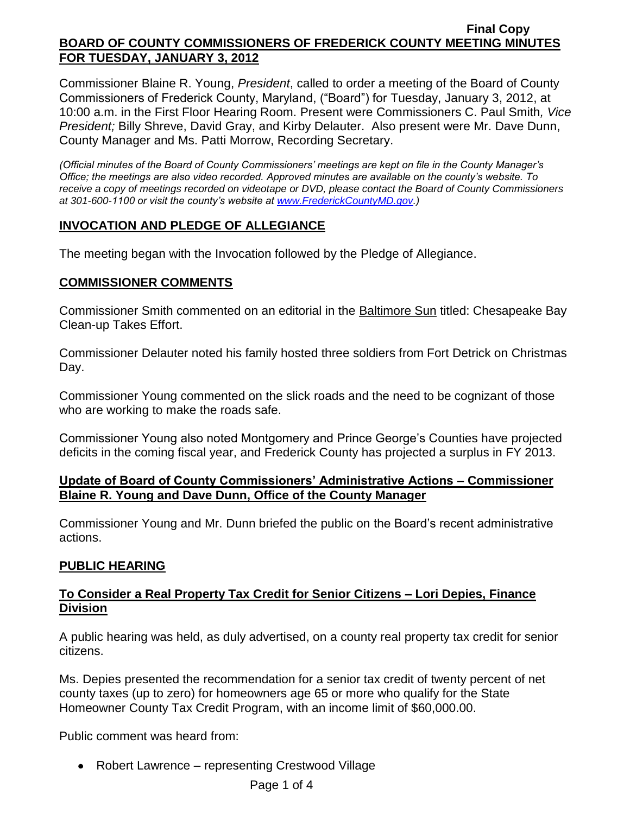Commissioner Blaine R. Young, *President*, called to order a meeting of the Board of County Commissioners of Frederick County, Maryland, ("Board") for Tuesday, January 3, 2012, at 10:00 a.m. in the First Floor Hearing Room. Present were Commissioners C. Paul Smith*, Vice President;* Billy Shreve, David Gray, and Kirby Delauter. Also present were Mr. Dave Dunn, County Manager and Ms. Patti Morrow, Recording Secretary.

*(Official minutes of the Board of County Commissioners' meetings are kept on file in the County Manager's Office; the meetings are also video recorded. Approved minutes are available on the county's website. To receive a copy of meetings recorded on videotape or DVD, please contact the Board of County Commissioners at 301-600-1100 or visit the county's website at [www.FrederickCountyMD.gov.](http://www.frederickcountymd.gov/))*

## **INVOCATION AND PLEDGE OF ALLEGIANCE**

The meeting began with the Invocation followed by the Pledge of Allegiance.

### **COMMISSIONER COMMENTS**

Commissioner Smith commented on an editorial in the Baltimore Sun titled: Chesapeake Bay Clean-up Takes Effort.

Commissioner Delauter noted his family hosted three soldiers from Fort Detrick on Christmas Day.

Commissioner Young commented on the slick roads and the need to be cognizant of those who are working to make the roads safe.

Commissioner Young also noted Montgomery and Prince George's Counties have projected deficits in the coming fiscal year, and Frederick County has projected a surplus in FY 2013.

## **Update of Board of County Commissioners' Administrative Actions – Commissioner Blaine R. Young and Dave Dunn, Office of the County Manager**

Commissioner Young and Mr. Dunn briefed the public on the Board's recent administrative actions.

### **PUBLIC HEARING**

## **To Consider a Real Property Tax Credit for Senior Citizens – Lori Depies, Finance Division**

A public hearing was held, as duly advertised, on a county real property tax credit for senior citizens.

Ms. Depies presented the recommendation for a senior tax credit of twenty percent of net county taxes (up to zero) for homeowners age 65 or more who qualify for the State Homeowner County Tax Credit Program, with an income limit of \$60,000.00.

Public comment was heard from:

• Robert Lawrence – representing Crestwood Village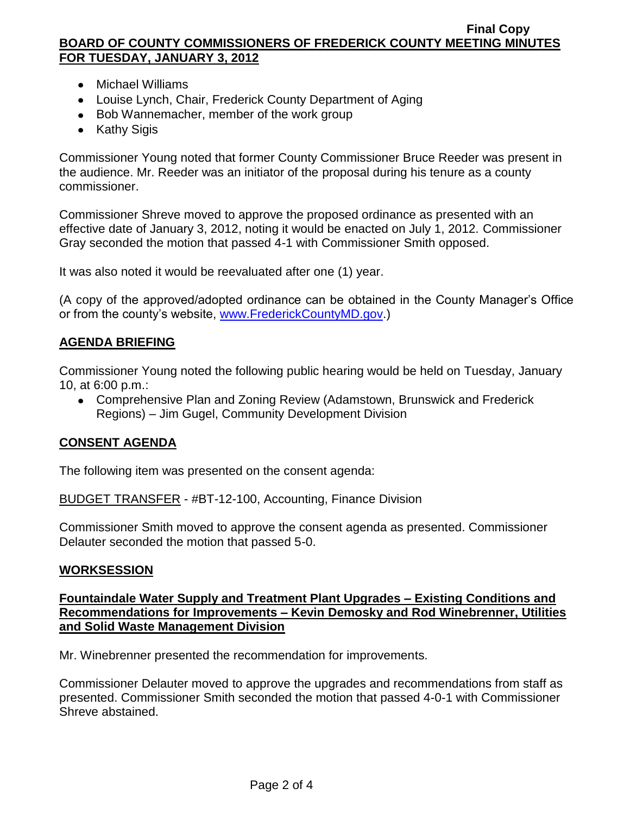- Michael Williams
- Louise Lynch, Chair, Frederick County Department of Aging
- Bob Wannemacher, member of the work group
- Kathy Sigis

Commissioner Young noted that former County Commissioner Bruce Reeder was present in the audience. Mr. Reeder was an initiator of the proposal during his tenure as a county commissioner.

Commissioner Shreve moved to approve the proposed ordinance as presented with an effective date of January 3, 2012, noting it would be enacted on July 1, 2012. Commissioner Gray seconded the motion that passed 4-1 with Commissioner Smith opposed.

It was also noted it would be reevaluated after one (1) year.

(A copy of the approved/adopted ordinance can be obtained in the County Manager's Office or from the county's website, [www.FrederickCountyMD.gov.](http://www.frederickcountymd.gov/))

# **AGENDA BRIEFING**

Commissioner Young noted the following public hearing would be held on Tuesday, January 10, at 6:00 p.m.:

Comprehensive Plan and Zoning Review (Adamstown, Brunswick and Frederick Regions) – Jim Gugel, Community Development Division

# **CONSENT AGENDA**

The following item was presented on the consent agenda:

BUDGET TRANSFER - #BT-12-100, Accounting, Finance Division

Commissioner Smith moved to approve the consent agenda as presented. Commissioner Delauter seconded the motion that passed 5-0.

# **WORKSESSION**

### **Fountaindale Water Supply and Treatment Plant Upgrades – Existing Conditions and Recommendations for Improvements – Kevin Demosky and Rod Winebrenner, Utilities and Solid Waste Management Division**

Mr. Winebrenner presented the recommendation for improvements.

Commissioner Delauter moved to approve the upgrades and recommendations from staff as presented. Commissioner Smith seconded the motion that passed 4-0-1 with Commissioner Shreve abstained.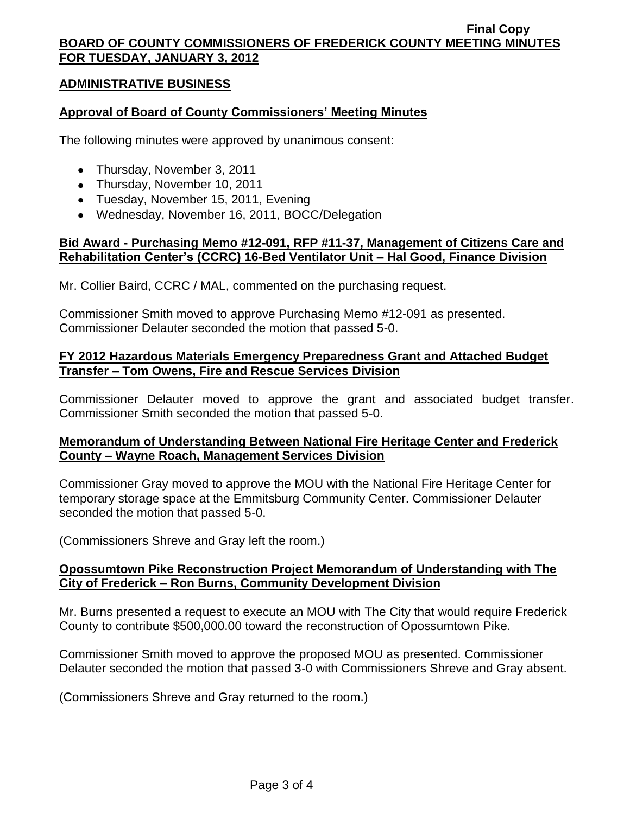### **ADMINISTRATIVE BUSINESS**

### **Approval of Board of County Commissioners' Meeting Minutes**

The following minutes were approved by unanimous consent:

- Thursday, November 3, 2011
- Thursday, November 10, 2011
- Tuesday, November 15, 2011, Evening
- Wednesday, November 16, 2011, BOCC/Delegation

### **Bid Award - Purchasing Memo #12-091, RFP #11-37, Management of Citizens Care and Rehabilitation Center's (CCRC) 16-Bed Ventilator Unit – Hal Good, Finance Division**

Mr. Collier Baird, CCRC / MAL, commented on the purchasing request.

Commissioner Smith moved to approve Purchasing Memo #12-091 as presented. Commissioner Delauter seconded the motion that passed 5-0.

### **FY 2012 Hazardous Materials Emergency Preparedness Grant and Attached Budget Transfer – Tom Owens, Fire and Rescue Services Division**

Commissioner Delauter moved to approve the grant and associated budget transfer. Commissioner Smith seconded the motion that passed 5-0.

## **Memorandum of Understanding Between National Fire Heritage Center and Frederick County – Wayne Roach, Management Services Division**

Commissioner Gray moved to approve the MOU with the National Fire Heritage Center for temporary storage space at the Emmitsburg Community Center. Commissioner Delauter seconded the motion that passed 5-0.

(Commissioners Shreve and Gray left the room.)

### **Opossumtown Pike Reconstruction Project Memorandum of Understanding with The City of Frederick – Ron Burns, Community Development Division**

Mr. Burns presented a request to execute an MOU with The City that would require Frederick County to contribute \$500,000.00 toward the reconstruction of Opossumtown Pike.

Commissioner Smith moved to approve the proposed MOU as presented. Commissioner Delauter seconded the motion that passed 3-0 with Commissioners Shreve and Gray absent.

(Commissioners Shreve and Gray returned to the room.)